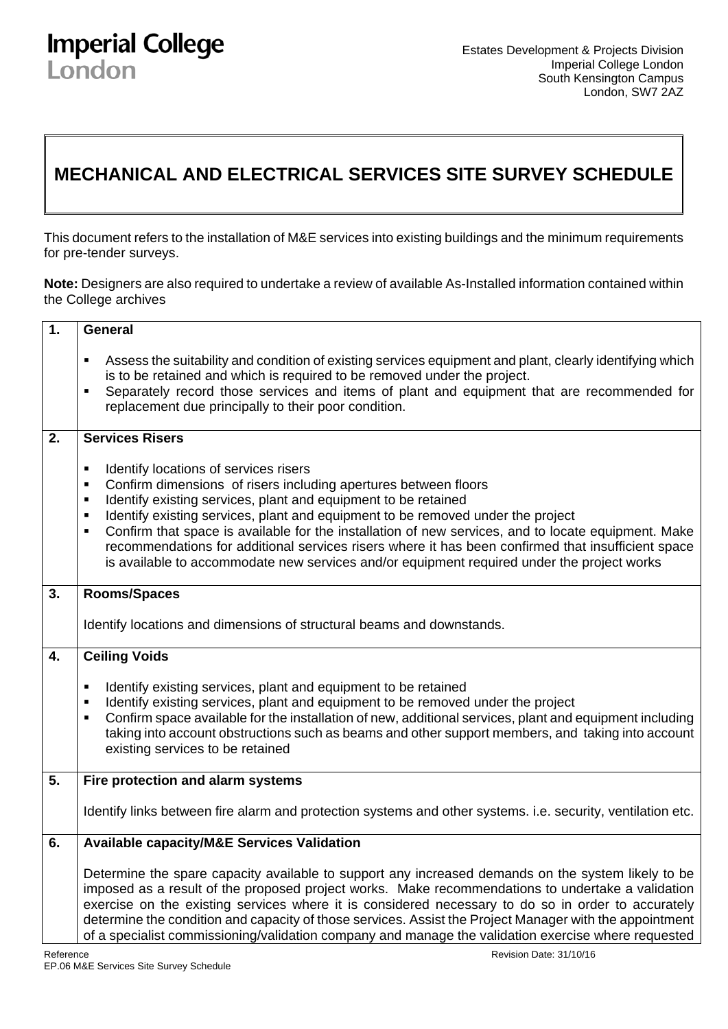## **Imperial College** London

## **MECHANICAL AND ELECTRICAL SERVICES SITE SURVEY SCHEDULE**

This document refers to the installation of M&E services into existing buildings and the minimum requirements for pre-tender surveys.

**Note:** Designers are also required to undertake a review of available As-Installed information contained within the College archives

| 1.        | General                                                                                                                                                                                                                                                                                                                                                                                                                                                                                                                                                                                                                     |
|-----------|-----------------------------------------------------------------------------------------------------------------------------------------------------------------------------------------------------------------------------------------------------------------------------------------------------------------------------------------------------------------------------------------------------------------------------------------------------------------------------------------------------------------------------------------------------------------------------------------------------------------------------|
|           | Assess the suitability and condition of existing services equipment and plant, clearly identifying which<br>п<br>is to be retained and which is required to be removed under the project.<br>Separately record those services and items of plant and equipment that are recommended for<br>٠                                                                                                                                                                                                                                                                                                                                |
|           | replacement due principally to their poor condition.                                                                                                                                                                                                                                                                                                                                                                                                                                                                                                                                                                        |
| 2.        | <b>Services Risers</b>                                                                                                                                                                                                                                                                                                                                                                                                                                                                                                                                                                                                      |
|           | Identify locations of services risers<br>٠<br>Confirm dimensions of risers including apertures between floors<br>п<br>Identify existing services, plant and equipment to be retained<br>$\blacksquare$<br>Identify existing services, plant and equipment to be removed under the project<br>$\blacksquare$<br>Confirm that space is available for the installation of new services, and to locate equipment. Make<br>٠<br>recommendations for additional services risers where it has been confirmed that insufficient space<br>is available to accommodate new services and/or equipment required under the project works |
| 3.        | Rooms/Spaces                                                                                                                                                                                                                                                                                                                                                                                                                                                                                                                                                                                                                |
|           | Identify locations and dimensions of structural beams and downstands.                                                                                                                                                                                                                                                                                                                                                                                                                                                                                                                                                       |
| 4.        | <b>Ceiling Voids</b>                                                                                                                                                                                                                                                                                                                                                                                                                                                                                                                                                                                                        |
|           | Identify existing services, plant and equipment to be retained<br>٠<br>Identify existing services, plant and equipment to be removed under the project<br>$\blacksquare$<br>Confirm space available for the installation of new, additional services, plant and equipment including<br>$\blacksquare$<br>taking into account obstructions such as beams and other support members, and taking into account<br>existing services to be retained                                                                                                                                                                              |
| 5.        | Fire protection and alarm systems                                                                                                                                                                                                                                                                                                                                                                                                                                                                                                                                                                                           |
|           | Identify links between fire alarm and protection systems and other systems. i.e. security, ventilation etc.                                                                                                                                                                                                                                                                                                                                                                                                                                                                                                                 |
| 6.        | <b>Available capacity/M&amp;E Services Validation</b>                                                                                                                                                                                                                                                                                                                                                                                                                                                                                                                                                                       |
| Reference | Determine the spare capacity available to support any increased demands on the system likely to be<br>imposed as a result of the proposed project works. Make recommendations to undertake a validation<br>exercise on the existing services where it is considered necessary to do so in order to accurately<br>determine the condition and capacity of those services. Assist the Project Manager with the appointment<br>of a specialist commissioning/validation company and manage the validation exercise where requested<br>Revision Date: 31/10/16                                                                  |